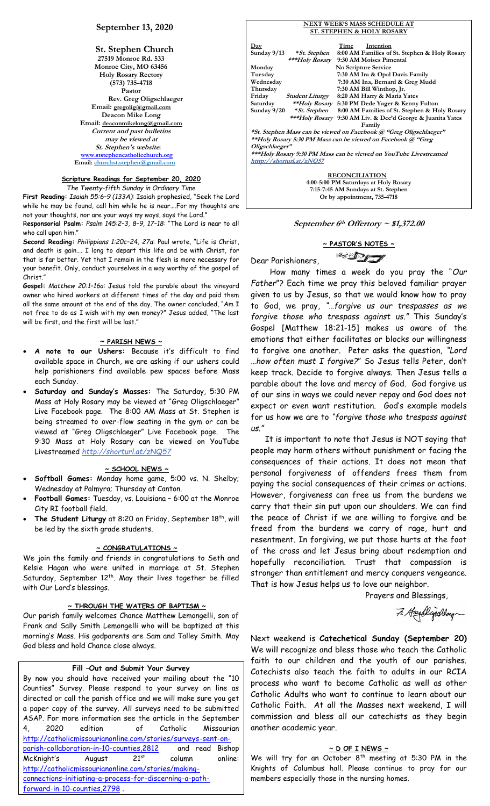# **September 13, 2020**

**St. Stephen Church 27519 Monroe Rd. 533 Monroe City, MO 63456 Holy Rosary Rectory (573) 735-4718 Pastor Rev. Greg Oligschlaeger Email: gregolig@gmail.com Deacon Mike Long Email: deaconmikelong@gmail.com Current and past bulletins may be viewed at St. Stephen's website: [www.ststephencatholicchurch.org](http://www.ststephencatholicchurch.org/) Email: [churchst.stephen@gmail.com](mailto:churchst.stephen@gmail.com)**

#### **Scripture Readings for September 20, 2020** *The Twenty-fifth Sunday in Ordinary Time*

**First Reading:** *Isaiah 55:6–9 (133A)*: Isaiah prophesied, "Seek the Lord while he may be found, call him while he is near….For my thoughts are not your thoughts, nor are your ways my ways, says the Lord."

R**esponsorial Psalm:** *Psalm 145:2–3, 8–9, 17–18:* "The Lord is near to all who call upon him."

**Second Reading:** *Philippians 1:20c–24, 27a*: Paul wrote, "Life is Christ, and death is gain…. I long to depart this life and be with Christ, for that is far better. Yet that I remain in the flesh is more necessary for your benefit. Only, conduct yourselves in a way worthy of the gospel of Christ."

**Gospel:** *Matthew 20:1–16a:* Jesus told the parable about the vineyard owner who hired workers at different times of the day and paid them all the same amount at the end of the day. The owner concluded, "Am I not free to do as I wish with my own money?" Jesus added, "The last will be first, and the first will be last."

## **~ PARISH NEWS ~**

- **A note to our Ushers:** Because it's difficult to find available space in Church, we are asking if our ushers could help parishioners find available pew spaces before Mass each Sunday.
- **Saturday and Sunday's Masses:** The Saturday, 5:30 PM Mass at Holy Rosary may be viewed at "Greg Oligschlaeger" Live Facebook page. The 8:00 AM Mass at St. Stephen is being streamed to over-flow seating in the gym or can be viewed at "Greg Oligschlaeger" Live Facebook page. The 9:30 Mass at Holy Rosary can be viewed on YouTube Livestreamed *http://shorturl.at/zNQ57*

#### **~ SCHOOL NEWS ~**

- **Softball Games:** Monday home game, 5:00 vs. N. Shelby; Wednesday at Palmyra; Thursday at Canton.
- **Football Games:** Tuesday, vs. Louisiana 6:00 at the Monroe City RI football field.
- The Student Liturgy at 8:20 on Friday, September 18<sup>th</sup>, will be led by the sixth grade students.

# **~ CONGRATULATIONS ~**

We join the family and friends in congratulations to Seth and Kelsie Hagan who were united in marriage at St. Stephen Saturday, September  $12<sup>th</sup>$ . May their lives together be filled with Our Lord's blessings.

#### **~ THROUGH THE WATERS OF BAPTISM ~**

Our parish family welcomes Chance Matthew Lemongelli, son of Frank and Sally Smith Lemongelli who will be baptized at this morning's Mass. His godparents are Sam and Talley Smith. May God bless and hold Chance close always.

## **Fill –Out and Submit Your Survey**

By now you should have received your mailing about the "10 Counties" Survey. Please respond to your survey on line as directed or call the parish office and we will make sure you get a paper copy of the survey. All surveys need to be submitted ASAP. For more information see the article in the September 4, 2020 edition of Catholic Missourian [http://catholicmissourianonline.com/stories/surveys-sent-on](http://catholicmissourianonline.com/stories/surveys-sent-on-parish-collaboration-in-10-counties,2812)parish-collaboration-in-10-counties, 2812 and read Bishop McKnight's August 21<sup>st</sup> column online: [http://catholicmissourianonline.com/stories/making](http://catholicmissourianonline.com/stories/making-connections-initiating-a-process-for-discerning-a-path-forward-in-10-counties,2798)[connections-initiating-a-process-for-discerning-a-path](http://catholicmissourianonline.com/stories/making-connections-initiating-a-process-for-discerning-a-path-forward-in-10-counties,2798)[forward-in-10-counties,2798](http://catholicmissourianonline.com/stories/making-connections-initiating-a-process-for-discerning-a-path-forward-in-10-counties,2798) .

| $_{\rm Day}$   |                           | Time | Intention                                                               |
|----------------|---------------------------|------|-------------------------------------------------------------------------|
| Sunday $9/13$  | * St. Stephen             |      | 8:00 AM Families of St. Stephen & Holy Rosary                           |
|                |                           |      | ***Holy Rosary 9:30 AM Moises Pimental                                  |
| Monday         |                           |      | No Scripture Service                                                    |
| Tuesday        |                           |      | 7:30 AM Ira & Opal Davis Family                                         |
| Wednesday      |                           |      | 7:30 AM Ina, Bernard & Greg Mudd                                        |
| Thursday       |                           |      | 7:30 AM Bill Winthop, Jr.                                               |
| Friday         | <b>Student Liturgy</b>    |      | 8:20 AM Harry & Maria Yates                                             |
|                |                           |      | Saturday ** <i>Holy Rosary</i> 5:30 PM Dede Yager & Kenny Fulton        |
|                |                           |      | Sunday 9/20 * St. Stephen 8:00 AM Families of St. Stephen & Holy Rosary |
|                |                           |      | ***Holy Rosary 9:30 AM Liv. & Dec'd George & Juanita Yates              |
|                |                           |      | Family                                                                  |
|                |                           |      | *St. Stephen Mass can be viewed on Facebook @ "Greg Oligschlaeger"      |
|                |                           |      | **Holy Rosary 5:30 PM Mass can be viewed on Facebook @ "Greg            |
| Oligschlaeger" |                           |      |                                                                         |
|                |                           |      | ***Holy Rosary 9:30 PM Mass can be viewed on YouTube Livestreamed       |
|                | htttp://shorturl.at/zNQ57 |      |                                                                         |
|                |                           |      |                                                                         |
|                |                           |      | <b>RECONCILIATION</b>                                                   |
|                |                           |      | 4:00-5:00 PM Saturdays at Holy Rosary                                   |
|                |                           |      | 7:15-7:45 AM Sundays at St. Stephen                                     |

**NEXT WEEK'S MASS SCHEDULE AT**

# **September 6th Offertory ~ \$1,372.00**

**Or by appointment, 735-4718**

# **~ PASTOR'S NOTES ~**  $\mathbb{Z}$

Dear Parishioners,

 How many times a week do you pray the "*Our Father*"? Each time we pray this beloved familiar prayer given to us by Jesus, so that we would know how to pray to God, we pray, *"…forgive us our trespasses as we forgive those who trespass against us."* This Sunday's Gospel [Matthew 18:21-15] makes us aware of the emotions that either facilitates or blocks our willingness to forgive one another. Peter asks the question, *"Lord …how often must I forgive?*" So Jesus tells Peter, don't keep track. Decide to forgive always. Then Jesus tells a parable about the love and mercy of God. God forgive us of our sins in ways we could never repay and God does not expect or even want restitution. God's example models for us how we are to *"forgive those who trespass against us."*

 It is important to note that Jesus is NOT saying that people may harm others without punishment or facing the consequences of their actions. It does not mean that personal forgiveness of offenders frees them from paying the social consequences of their crimes or actions. However, forgiveness can free us from the burdens we carry that their sin put upon our shoulders. We can find the peace of Christ if we are willing to forgive and be freed from the burdens we carry of rage, hurt and resentment. In forgiving, we put those hurts at the foot of the cross and let Jesus bring about redemption and hopefully reconciliation. Trust that compassion is stronger than entitlement and mercy conquers vengeance. That is how Jesus helps us to love our neighbor.

Prayers and Blessings,

7. Hogolijschlag

Next weekend is **Catechetical Sunday (September 20)** We will recognize and bless those who teach the Catholic faith to our children and the youth of our parishes. Catechists also teach the faith to adults in our RCIA process who want to become Catholic as well as other Catholic Adults who want to continue to learn about our Catholic Faith. At all the Masses next weekend, I will commission and bless all our catechists as they begin another academic year.

#### **~ D OF I NEWS ~**

We will try for an October 8<sup>th</sup> meeting at 5:30 PM in the Knights of Columbus hall. Please continue to pray for our members especially those in the nursing homes.